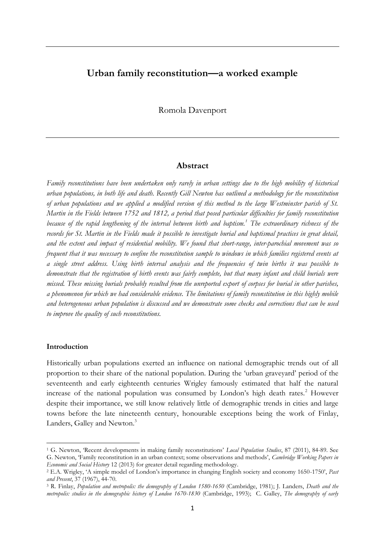# **Urban family reconstitution—a worked example**

Romola Davenport

## **Abstract**

*Family reconstitutions have been undertaken only rarely in urban settings due to the high mobility of historical urban populations, in both life and death. Recently Gill Newton has outlined a methodology for the reconstitution of urban populations and we applied a modified version of this method to the large Westminster parish of St. Martin in the Fields between 1752 and 1812, a period that posed particular difficulties for family reconstitution because of the rapid lengthening of the interval between birth and baptism.<sup>1</sup> The extraordinary richness of the records for St. Martin in the Fields made it possible to investigate burial and baptismal practices in great detail, and the extent and impact of residential mobility. We found that short-range, inter-parochial movement was so frequent that it was necessary to confine the reconstitution sample to windows in which families registered events at a single street address. Using birth interval analysis and the frequencies of twin births it was possible to demonstrate that the registration of birth events was fairly complete, but that many infant and child burials were missed. These missing burials probably resulted from the unreported export of corpses for burial in other parishes, a phenomenon for which we had considerable evidence. The limitations of family reconstitution in this highly mobile and heterogeneous urban population is discussed and we demonstrate some checks and corrections that can be used to improve the quality of such reconstitutions.* 

#### **Introduction**

1

Historically urban populations exerted an influence on national demographic trends out of all proportion to their share of the national population. During the 'urban graveyard' period of the seventeenth and early eighteenth centuries Wrigley famously estimated that half the natural increase of the national population was consumed by London's high death rates.<sup>2</sup> However despite their importance, we still know relatively little of demographic trends in cities and large towns before the late nineteenth century, honourable exceptions being the work of Finlay, Landers, Galley and Newton.<sup>3</sup>

<sup>1</sup> G. Newton, 'Recent developments in making family reconstitutions' *Local Population Studies*, 87 (2011), 84-89. See G. Newton, 'Family reconstitution in an urban context; some observations and methods', *Cambridge Working Papers in Economic and Social History* 12 (2013) for greater detail regarding methodology.

<sup>2</sup> E.A. Wrigley, 'A simple model of London's importance in changing English society and economy 1650-1750', *Past and Present*, 37 (1967), 44-70.

<sup>3</sup> R. Finlay, *Population and metropolis: the demography of London 1580-1650* (Cambridge, 1981); J. Landers, *Death and the metropolis: studies in the demographic history of London 1670-1830* (Cambridge, 1993); C. Galley, *The demography of early*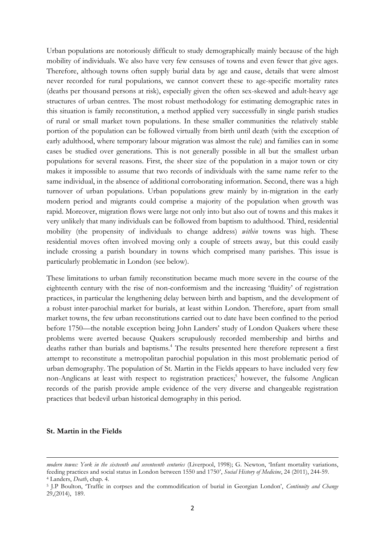Urban populations are notoriously difficult to study demographically mainly because of the high mobility of individuals. We also have very few censuses of towns and even fewer that give ages. Therefore, although towns often supply burial data by age and cause, details that were almost never recorded for rural populations, we cannot convert these to age-specific mortality rates (deaths per thousand persons at risk), especially given the often sex-skewed and adult-heavy age structures of urban centres. The most robust methodology for estimating demographic rates in this situation is family reconstitution, a method applied very successfully in single parish studies of rural or small market town populations. In these smaller communities the relatively stable portion of the population can be followed virtually from birth until death (with the exception of early adulthood, where temporary labour migration was almost the rule) and families can in some cases be studied over generations. This is not generally possible in all but the smallest urban populations for several reasons. First, the sheer size of the population in a major town or city makes it impossible to assume that two records of individuals with the same name refer to the same individual, in the absence of additional corroborating information. Second, there was a high turnover of urban populations. Urban populations grew mainly by in-migration in the early modern period and migrants could comprise a majority of the population when growth was rapid. Moreover, migration flows were large not only into but also out of towns and this makes it very unlikely that many individuals can be followed from baptism to adulthood. Third, residential mobility (the propensity of individuals to change address) *within* towns was high. These residential moves often involved moving only a couple of streets away, but this could easily include crossing a parish boundary in towns which comprised many parishes. This issue is particularly problematic in London (see below).

These limitations to urban family reconstitution became much more severe in the course of the eighteenth century with the rise of non-conformism and the increasing 'fluidity' of registration practices, in particular the lengthening delay between birth and baptism, and the development of a robust inter-parochial market for burials, at least within London. Therefore, apart from small market towns, the few urban reconstitutions carried out to date have been confined to the period before 1750—the notable exception being John Landers' study of London Quakers where these problems were averted because Quakers scrupulously recorded membership and births and deaths rather than burials and baptisms.<sup>4</sup> The results presented here therefore represent a first attempt to reconstitute a metropolitan parochial population in this most problematic period of urban demography. The population of St. Martin in the Fields appears to have included very few non-Anglicans at least with respect to registration practices;<sup>5</sup> however, the fulsome Anglican records of the parish provide ample evidence of the very diverse and changeable registration practices that bedevil urban historical demography in this period.

#### **St. Martin in the Fields**

1

*modern towns: York in the sixteenth and seventeenth centuries* (Liverpool, 1998); G. Newton, 'Infant mortality variations, feeding practices and social status in London between 1550 and 1750', *Social History of Medicine*, 24 (2011), 244-59. <sup>4</sup> Landers, *Death*, chap. 4.

<sup>5</sup> J.P Boulton, 'Traffic in corpses and the commodification of burial in Georgian London', *Continuity and Change* 29,(2014), 189.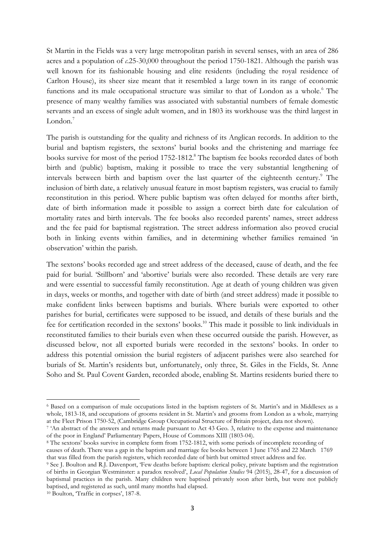St Martin in the Fields was a very large metropolitan parish in several senses, with an area of 286 acres and a population of *c*.25-30,000 throughout the period 1750-1821. Although the parish was well known for its fashionable housing and elite residents (including the royal residence of Carlton House), its sheer size meant that it resembled a large town in its range of economic functions and its male occupational structure was similar to that of London as a whole.<sup>6</sup> The presence of many wealthy families was associated with substantial numbers of female domestic servants and an excess of single adult women, and in 1803 its workhouse was the third largest in London.<sup>7</sup>

The parish is outstanding for the quality and richness of its Anglican records. In addition to the burial and baptism registers, the sextons' burial books and the christening and marriage fee books survive for most of the period 1752-1812. <sup>8</sup> The baptism fee books recorded dates of both birth and (public) baptism, making it possible to trace the very substantial lengthening of intervals between birth and baptism over the last quarter of the eighteenth century.<sup>9</sup> The inclusion of birth date, a relatively unusual feature in most baptism registers, was crucial to family reconstitution in this period. Where public baptism was often delayed for months after birth, date of birth information made it possible to assign a correct birth date for calculation of mortality rates and birth intervals. The fee books also recorded parents' names, street address and the fee paid for baptismal registration. The street address information also proved crucial both in linking events within families, and in determining whether families remained 'in observation' within the parish.

The sextons' books recorded age and street address of the deceased, cause of death, and the fee paid for burial. 'Stillborn' and 'abortive' burials were also recorded. These details are very rare and were essential to successful family reconstitution. Age at death of young children was given in days, weeks or months, and together with date of birth (and street address) made it possible to make confident links between baptisms and burials. Where burials were exported to other parishes for burial, certificates were supposed to be issued, and details of these burials and the fee for certification recorded in the sextons' books.<sup>10</sup> This made it possible to link individuals in reconstituted families to their burials even when these occurred outside the parish. However, as discussed below, not all exported burials were recorded in the sextons' books. In order to address this potential omission the burial registers of adjacent parishes were also searched for burials of St. Martin's residents but, unfortunately, only three, St. Giles in the Fields, St. Anne Soho and St. Paul Covent Garden, recorded abode, enabling St. Martins residents buried there to

<sup>10</sup> Boulton, 'Traffic in corpses', 187-8.

**.** 

<sup>6</sup> Based on a comparison of male occupations listed in the baptism registers of St. Martin's and in Middlesex as a whole, 1813-18, and occupations of grooms resident in St. Martin's and grooms from London as a whole, marrying at the Fleet Prison 1750-52, (Cambridge Group Occupational Structure of Britain project, data not shown).

<sup>&</sup>lt;sup>7</sup> 'An abstract of the answers and returns made pursuant to Act 43 Geo. 3, relative to the expense and maintenance of the poor in England' Parliamentary Papers, House of Commons XIII (1803-04).

<sup>8</sup> The sextons' books survive in complete form from 1752-1812, with some periods of incomplete recording of causes of death. There was a gap in the baptism and marriage fee books between 1 June 1765 and 22 March 1769 that was filled from the parish registers, which recorded date of birth but omitted street address and fee.

<sup>9</sup> See J. Boulton and R.J. Davenport, 'Few deaths before baptism: clerical policy, private baptism and the registration of births in Georgian Westminster: a paradox resolved', *Local Population Studies* 94 (2015), 28-47, for a discussion of baptismal practices in the parish. Many children were baptised privately soon after birth, but were not publicly baptised, and registered as such, until many months had elapsed.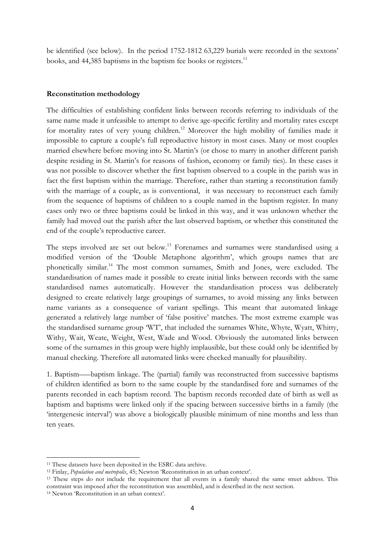be identified (see below). In the period 1752-1812 63,229 burials were recorded in the sextons' books, and 44,385 baptisms in the baptism fee books or registers.<sup>11</sup>

## **Reconstitution methodology**

The difficulties of establishing confident links between records referring to individuals of the same name made it unfeasible to attempt to derive age-specific fertility and mortality rates except for mortality rates of very young children.<sup>12</sup> Moreover the high mobility of families made it impossible to capture a couple's full reproductive history in most cases. Many or most couples married elsewhere before moving into St. Martin's (or chose to marry in another different parish despite residing in St. Martin's for reasons of fashion, economy or family ties). In these cases it was not possible to discover whether the first baptism observed to a couple in the parish was in fact the first baptism within the marriage. Therefore, rather than starting a reconstitution family with the marriage of a couple, as is conventional, it was necessary to reconstruct each family from the sequence of baptisms of children to a couple named in the baptism register. In many cases only two or three baptisms could be linked in this way, and it was unknown whether the family had moved out the parish after the last observed baptism, or whether this constituted the end of the couple's reproductive career.

The steps involved are set out below.<sup>13</sup> Forenames and surnames were standardised using a modified version of the 'Double Metaphone algorithm', which groups names that are phonetically similar.<sup>14</sup> The most common surnames, Smith and Jones, were excluded. The standardisation of names made it possible to create initial links between records with the same standardised names automatically. However the standardisation process was deliberately designed to create relatively large groupings of surnames, to avoid missing any links between name variants as a consequence of variant spellings. This meant that automated linkage generated a relatively large number of 'false positive' matches. The most extreme example was the standardised surname group 'WT', that included the surnames White, Whyte, Wyatt, Whitty, Withy, Wait, Weate, Weight, West, Wade and Wood. Obviously the automated links between some of the surnames in this group were highly implausible, but these could only be identified by manual checking. Therefore all automated links were checked manually for plausibility.

1. Baptism――baptism linkage. The (partial) family was reconstructed from successive baptisms of children identified as born to the same couple by the standardised fore and surnames of the parents recorded in each baptism record. The baptism records recorded date of birth as well as baptism and baptisms were linked only if the spacing between successive births in a family (the 'intergenesic interval') was above a biologically plausible minimum of nine months and less than ten years.

1

<sup>&</sup>lt;sup>11</sup> These datasets have been deposited in the ESRC data archive.

<sup>12</sup> Finlay, *Population and metropolis*, 45; Newton 'Reconstitution in an urban context'.

<sup>&</sup>lt;sup>13</sup> These steps do not include the requirement that all events in a family shared the same street address. This constraint was imposed after the reconstitution was assembled, and is described in the next section.

<sup>14</sup> Newton 'Reconstitution in an urban context'.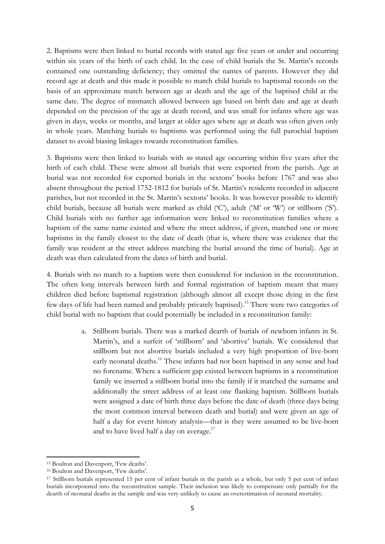2. Baptisms were then linked to burial records with stated age five years or under and occurring within six years of the birth of each child. In the case of child burials the St. Martin's records contained one outstanding deficiency; they omitted the names of parents. However they did record age at death and this made it possible to match child burials to baptismal records on the basis of an approximate match between age at death and the age of the baptised child at the same date. The degree of mismatch allowed between age based on birth date and age at death depended on the precision of the age at death record, and was small for infants where age was given in days, weeks or months, and larger at older ages where age at death was often given only in whole years. Matching burials to baptisms was performed using the full parochial baptism dataset to avoid biasing linkages towards reconstitution families.

3. Baptisms were then linked to burials with *no* stated age occurring within five years after the birth of each child. These were almost all burials that were exported from the parish. Age at burial was not recorded for exported burials in the sextons' books before 1767 and was also absent throughout the period 1752-1812 for burials of St. Martin's residents recorded in adjacent parishes, but not recorded in the St. Martin's sextons' books. It was however possible to identify child burials, because all burials were marked as child ('C'), adult ('M' or 'W') or stillborn ('S'). Child burials with no further age information were linked to reconstitution families where a baptism of the same name existed and where the street address, if given, matched one or more baptisms in the family closest to the date of death (that is, where there was evidence that the family was resident at the street address matching the burial around the time of burial). Age at death was then calculated from the dates of birth and burial.

4. Burials with no match to a baptism were then considered for inclusion in the reconstitution. The often long intervals between birth and formal registration of baptism meant that many children died before baptismal registration (although almost all except those dying in the first few days of life had been named and probably privately baptised). <sup>15</sup> There were two categories of child burial with no baptism that could potentially be included in a reconstitution family:

> a. Stillborn burials. There was a marked dearth of burials of newborn infants in St. Martin's, and a surfeit of 'stillborn' and 'abortive' burials. We considered that stillborn but not abortive burials included a very high proportion of live-born early neonatal deaths.<sup>16</sup> These infants had not been baptised in any sense and had no forename. Where a sufficient gap existed between baptisms in a reconstitution family we inserted a stillborn burial into the family if it matched the surname and additionally the street address of at least one flanking baptism. Stillborn burials were assigned a date of birth three days before the date of death (three days being the most common interval between death and burial) and were given an age of half a day for event history analysis—that is they were assumed to be live-born and to have lived half a day on average.<sup>17</sup>

1

<sup>15</sup> Boulton and Davenport, 'Few deaths'.

<sup>16</sup> Boulton and Davenport, 'Few deaths'.

<sup>17</sup> Stillborn burials represented 15 per cent of infant burials in the parish as a whole, but only 5 per cent of infant burials incorporated into the reconstitution sample. Their inclusion was likely to compensate only partially for the dearth of neonatal deaths in the sample and was very unlikely to cause an overestimation of neonatal mortality.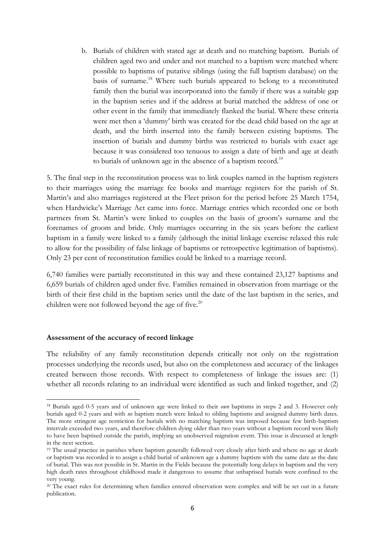b. Burials of children with stated age at death and no matching baptism. Burials of children aged two and under and not matched to a baptism were matched where possible to baptisms of putative siblings (using the full baptism database) on the basis of surname.<sup>18</sup> Where such burials appeared to belong to a reconstituted family then the burial was incorporated into the family if there was a suitable gap in the baptism series and if the address at burial matched the address of one or other event in the family that immediately flanked the burial. Where these criteria were met then a 'dummy' birth was created for the dead child based on the age at death, and the birth inserted into the family between existing baptisms. The insertion of burials and dummy births was restricted to burials with exact age because it was considered too tenuous to assign a date of birth and age at death to burials of unknown age in the absence of a baptism record.<sup>19</sup>

5. The final step in the reconstitution process was to link couples named in the baptism registers to their marriages using the marriage fee books and marriage registers for the parish of St. Martin's and also marriages registered at the Fleet prison for the period before 25 March 1754, when Hardwicke's Marriage Act came into force. Marriage entries which recorded one or both partners from St. Martin's were linked to couples on the basis of groom's surname and the forenames of groom and bride. Only marriages occurring in the six years before the earliest baptism in a family were linked to a family (although the initial linkage exercise relaxed this rule to allow for the possibility of false linkage of baptisms or retrospective legitimation of baptisms). Only 23 per cent of reconstitution families could be linked to a marriage record.

6,740 families were partially reconstituted in this way and these contained 23,127 baptisms and 6,659 burials of children aged under five. Families remained in observation from marriage or the birth of their first child in the baptism series until the date of the last baptism in the series, and children were not followed beyond the age of five.<sup>20</sup>

#### **Assessment of the accuracy of record linkage**

**.** 

The reliability of any family reconstitution depends critically not only on the registration processes underlying the records used, but also on the completeness and accuracy of the linkages created between those records. With respect to completeness of linkage the issues are: (1) whether all records relating to an individual were identified as such and linked together, and (2)

<sup>18</sup> Burials aged 0-5 years and of unknown age were linked to their *own* baptisms in steps 2 and 3. However only burials aged 0-2 years and with *no* baptism match were linked to sibling baptisms and assigned dummy birth dates. The more stringent age restriction for burials with no matching baptism was imposed because few birth-baptism intervals exceeded two years, and therefore children dying older than two years without a baptism record were likely to have been baptised outside the parish, implying an unobserved migration event. This issue is discussed at length in the next section.

<sup>&</sup>lt;sup>19</sup> The usual practice in parishes where baptism generally followed very closely after birth and where no age at death or baptism was recorded is to assign a child burial of unknown age a dummy baptism with the same date as the date of burial. This was not possible in St. Martin in the Fields because the potentially long delays in baptism and the very high death rates throughout childhood made it dangerous to assume that unbaptised burials were confined to the very young.

<sup>&</sup>lt;sup>20</sup> The exact rules for determining when families entered observation were complex and will be set out in a future publication.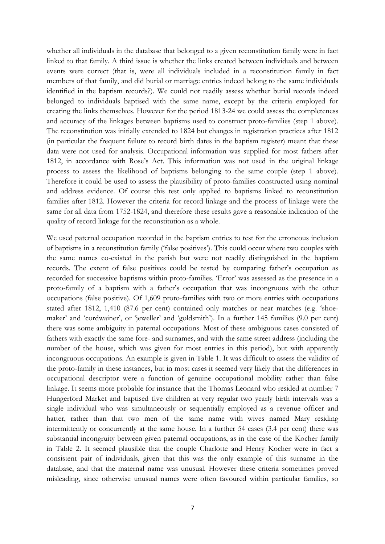whether all individuals in the database that belonged to a given reconstitution family were in fact linked to that family. A third issue is whether the links created between individuals and between events were correct (that is, were all individuals included in a reconstitution family in fact members of that family, and did burial or marriage entries indeed belong to the same individuals identified in the baptism records?). We could not readily assess whether burial records indeed belonged to individuals baptised with the same name, except by the criteria employed for creating the links themselves. However for the period 1813-24 we could assess the completeness and accuracy of the linkages between baptisms used to construct proto-families (step 1 above). The reconstitution was initially extended to 1824 but changes in registration practices after 1812 (in particular the frequent failure to record birth dates in the baptism register) meant that these data were not used for analysis. Occupational information was supplied for most fathers after 1812, in accordance with Rose's Act. This information was not used in the original linkage process to assess the likelihood of baptisms belonging to the same couple (step 1 above). Therefore it could be used to assess the plausibility of proto-families constructed using nominal and address evidence. Of course this test only applied to baptisms linked to reconstitution families after 1812. However the criteria for record linkage and the process of linkage were the same for all data from 1752-1824, and therefore these results gave a reasonable indication of the quality of record linkage for the reconstitution as a whole.

We used paternal occupation recorded in the baptism entries to test for the erroneous inclusion of baptisms in a reconstitution family ('false positives'). This could occur where two couples with the same names co-existed in the parish but were not readily distinguished in the baptism records. The extent of false positives could be tested by comparing father's occupation as recorded for successive baptisms within proto-families. 'Error' was assessed as the presence in a proto-family of a baptism with a father's occupation that was incongruous with the other occupations (false positive). Of 1,609 proto-families with two or more entries with occupations stated after 1812, 1,410 (87.6 per cent) contained only matches or near matches (e.g. 'shoemaker' and 'cordwainer', or 'jeweller' and 'goldsmith'). In a further 145 families (9.0 per cent) there was some ambiguity in paternal occupations. Most of these ambiguous cases consisted of fathers with exactly the same fore- and surnames, and with the same street address (including the number of the house, which was given for most entries in this period), but with apparently incongruous occupations. An example is given in Table 1. It was difficult to assess the validity of the proto-family in these instances, but in most cases it seemed very likely that the differences in occupational descriptor were a function of genuine occupational mobility rather than false linkage. It seems more probable for instance that the Thomas Leonard who resided at number 7 Hungerford Market and baptised five children at very regular two yearly birth intervals was a single individual who was simultaneously or sequentially employed as a revenue officer and hatter, rather than that two men of the same name with wives named Mary residing intermittently or concurrently at the same house. In a further 54 cases (3.4 per cent) there was substantial incongruity between given paternal occupations, as in the case of the Kocher family in Table 2. It seemed plausible that the couple Charlotte and Henry Kocher were in fact a consistent pair of individuals, given that this was the only example of this surname in the database, and that the maternal name was unusual. However these criteria sometimes proved misleading, since otherwise unusual names were often favoured within particular families, so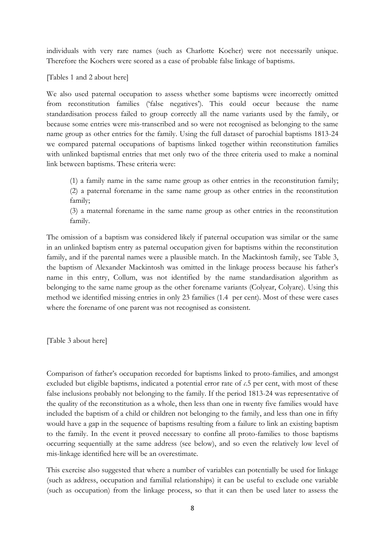individuals with very rare names (such as Charlotte Kocher) were not necessarily unique. Therefore the Kochers were scored as a case of probable false linkage of baptisms.

[Tables 1 and 2 about here]

We also used paternal occupation to assess whether some baptisms were incorrectly omitted from reconstitution families ('false negatives'). This could occur because the name standardisation process failed to group correctly all the name variants used by the family, or because some entries were mis-transcribed and so were not recognised as belonging to the same name group as other entries for the family. Using the full dataset of parochial baptisms 1813-24 we compared paternal occupations of baptisms linked together within reconstitution families with unlinked baptismal entries that met only two of the three criteria used to make a nominal link between baptisms. These criteria were:

(1) a family name in the same name group as other entries in the reconstitution family; (2) a paternal forename in the same name group as other entries in the reconstitution family;

(3) a maternal forename in the same name group as other entries in the reconstitution family.

The omission of a baptism was considered likely if paternal occupation was similar or the same in an unlinked baptism entry as paternal occupation given for baptisms within the reconstitution family, and if the parental names were a plausible match. In the Mackintosh family, see Table 3, the baptism of Alexander Mackintosh was omitted in the linkage process because his father's name in this entry, Collum, was not identified by the name standardisation algorithm as belonging to the same name group as the other forename variants (Colyear, Colyare). Using this method we identified missing entries in only 23 families (1.4 per cent). Most of these were cases where the forename of one parent was not recognised as consistent.

[Table 3 about here]

Comparison of father's occupation recorded for baptisms linked to proto-families, and amongst excluded but eligible baptisms, indicated a potential error rate of *c*.5 per cent, with most of these false inclusions probably not belonging to the family. If the period 1813-24 was representative of the quality of the reconstitution as a whole, then less than one in twenty five families would have included the baptism of a child or children not belonging to the family, and less than one in fifty would have a gap in the sequence of baptisms resulting from a failure to link an existing baptism to the family. In the event it proved necessary to confine all proto-families to those baptisms occurring sequentially at the same address (see below), and so even the relatively low level of mis-linkage identified here will be an overestimate.

This exercise also suggested that where a number of variables can potentially be used for linkage (such as address, occupation and familial relationships) it can be useful to exclude one variable (such as occupation) from the linkage process, so that it can then be used later to assess the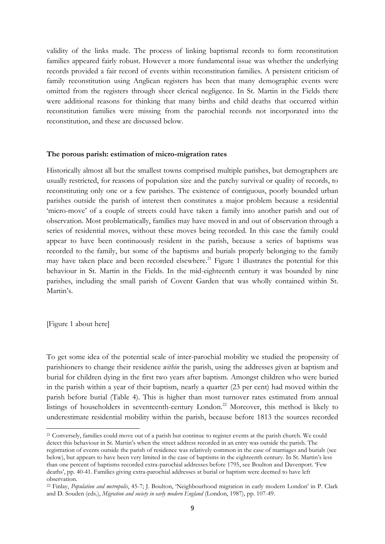validity of the links made. The process of linking baptismal records to form reconstitution families appeared fairly robust. However a more fundamental issue was whether the underlying records provided a fair record of events within reconstitution families. A persistent criticism of family reconstitution using Anglican registers has been that many demographic events were omitted from the registers through sheer clerical negligence. In St. Martin in the Fields there were additional reasons for thinking that many births and child deaths that occurred within reconstitution families were missing from the parochial records not incorporated into the reconstitution, and these are discussed below.

#### **The porous parish: estimation of micro-migration rates**

Historically almost all but the smallest towns comprised multiple parishes, but demographers are usually restricted, for reasons of population size and the patchy survival or quality of records, to reconstituting only one or a few parishes. The existence of contiguous, poorly bounded urban parishes outside the parish of interest then constitutes a major problem because a residential 'micro-move' of a couple of streets could have taken a family into another parish and out of observation. Most problematically, families may have moved in and out of observation through a series of residential moves, without these moves being recorded. In this case the family could appear to have been continuously resident in the parish, because a series of baptisms was recorded to the family, but some of the baptisms and burials properly belonging to the family may have taken place and been recorded elsewhere.<sup>21</sup> Figure 1 illustrates the potential for this behaviour in St. Martin in the Fields. In the mid-eighteenth century it was bounded by nine parishes, including the small parish of Covent Garden that was wholly contained within St. Martin's.

[Figure 1 about here]

1

To get some idea of the potential scale of inter-parochial mobility we studied the propensity of parishioners to change their residence *within* the parish, using the addresses given at baptism and burial for children dying in the first two years after baptism. Amongst children who were buried in the parish within a year of their baptism, nearly a quarter (23 per cent) had moved within the parish before burial (Table 4). This is higher than most turnover rates estimated from annual listings of householders in seventeenth-century London. <sup>22</sup> Moreover, this method is likely to underestimate residential mobility within the parish, because before 1813 the sources recorded

<sup>&</sup>lt;sup>21</sup> Conversely, families could move out of a parish but continue to register events at the parish church. We could detect this behaviour in St. Martin's when the street address recorded in an entry was outside the parish. The registration of events outside the parish of residence was relatively common in the case of marriages and burials (see below), but appears to have been very limited in the case of baptisms in the eighteenth century. In St. Martin's less than one percent of baptisms recorded extra-parochial addresses before 1795, see Boulton and Davenport. 'Few deaths', pp. 40-41. Families giving extra-parochial addresses at burial or baptism were deemed to have left observation.

<sup>22</sup> Finlay, *Population and metropolis*, 45-7; J. Boulton, 'Neighbourhood migration in early modern London' in P. Clark and D. Souden (eds.), *Migration and society in early modern England* (London, 1987), pp. 107-49.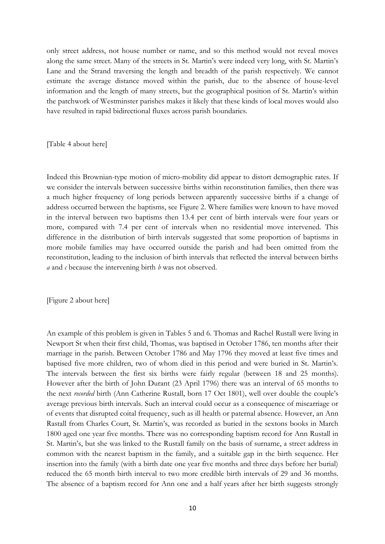only street address, not house number or name, and so this method would not reveal moves along the same street. Many of the streets in St. Martin's were indeed very long, with St. Martin's Lane and the Strand traversing the length and breadth of the parish respectively. We cannot estimate the average distance moved within the parish, due to the absence of house-level information and the length of many streets, but the geographical position of St. Martin's within the patchwork of Westminster parishes makes it likely that these kinds of local moves would also have resulted in rapid bidirectional fluxes across parish boundaries.

[Table 4 about here]

Indeed this Brownian-type motion of micro-mobility did appear to distort demographic rates. If we consider the intervals between successive births within reconstitution families, then there was a much higher frequency of long periods between apparently successive births if a change of address occurred between the baptisms, see Figure 2. Where families were known to have moved in the interval between two baptisms then 13.4 per cent of birth intervals were four years or more, compared with 7.4 per cent of intervals when no residential move intervened. This difference in the distribution of birth intervals suggested that some proportion of baptisms in more mobile families may have occurred outside the parish and had been omitted from the reconstitution, leading to the inclusion of birth intervals that reflected the interval between births *a* and *c* because the intervening birth *b* was not observed.

[Figure 2 about here]

An example of this problem is given in Tables 5 and 6. Thomas and Rachel Rustall were living in Newport St when their first child, Thomas, was baptised in October 1786, ten months after their marriage in the parish. Between October 1786 and May 1796 they moved at least five times and baptised five more children, two of whom died in this period and were buried in St. Martin's. The intervals between the first six births were fairly regular (between 18 and 25 months). However after the birth of John Durant (23 April 1796) there was an interval of 65 months to the next *recorded* birth (Ann Catherine Rustall, born 17 Oct 1801), well over double the couple's average previous birth intervals. Such an interval could occur as a consequence of miscarriage or of events that disrupted coital frequency, such as ill health or paternal absence. However, an Ann Rastall from Charles Court, St. Martin's, was recorded as buried in the sextons books in March 1800 aged one year five months. There was no corresponding baptism record for Ann Rustall in St. Martin's, but she was linked to the Rustall family on the basis of surname, a street address in common with the nearest baptism in the family, and a suitable gap in the birth sequence. Her insertion into the family (with a birth date one year five months and three days before her burial) reduced the 65 month birth interval to two more credible birth intervals of 29 and 36 months. The absence of a baptism record for Ann one and a half years after her birth suggests strongly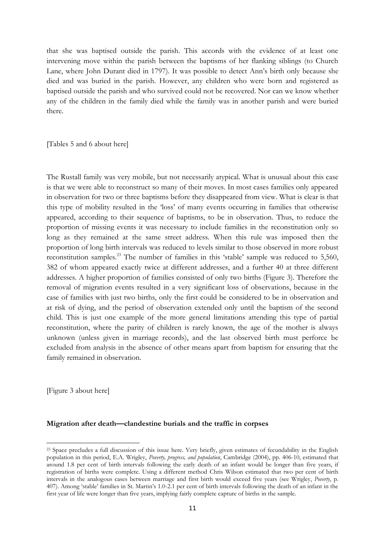that she was baptised outside the parish. This accords with the evidence of at least one intervening move within the parish between the baptisms of her flanking siblings (to Church Lane, where John Durant died in 1797). It was possible to detect Ann's birth only because she died and was buried in the parish. However, any children who were born and registered as baptised outside the parish and who survived could not be recovered. Nor can we know whether any of the children in the family died while the family was in another parish and were buried there.

[Tables 5 and 6 about here]

The Rustall family was very mobile, but not necessarily atypical. What is unusual about this case is that we were able to reconstruct so many of their moves. In most cases families only appeared in observation for two or three baptisms before they disappeared from view. What is clear is that this type of mobility resulted in the 'loss' of many events occurring in families that otherwise appeared, according to their sequence of baptisms, to be in observation. Thus, to reduce the proportion of missing events it was necessary to include families in the reconstitution only so long as they remained at the same street address. When this rule was imposed then the proportion of long birth intervals was reduced to levels similar to those observed in more robust reconstitution samples.<sup>23</sup> The number of families in this 'stable' sample was reduced to 5,560, 382 of whom appeared exactly twice at different addresses, and a further 40 at three different addresses. A higher proportion of families consisted of only two births (Figure 3). Therefore the removal of migration events resulted in a very significant loss of observations, because in the case of families with just two births, only the first could be considered to be in observation and at risk of dying, and the period of observation extended only until the baptism of the second child. This is just one example of the more general limitations attending this type of partial reconstitution, where the parity of children is rarely known, the age of the mother is always unknown (unless given in marriage records), and the last observed birth must perforce be excluded from analysis in the absence of other means apart from baptism for ensuring that the family remained in observation.

[Figure 3 about here]

1

#### **Migration after death—clandestine burials and the traffic in corpses**

<sup>&</sup>lt;sup>23</sup> Space precludes a full discussion of this issue here. Very briefly, given estimates of fecundability in the English population in this period, E.A. Wrigley, *Poverty, progress, and population*, Cambridge (2004), pp. 406-10, estimated that around 1.8 per cent of birth intervals following the early death of an infant would be longer than five years, if registration of births were complete. Using a different method Chris Wilson estimated that two per cent of birth intervals in the analogous cases between marriage and first birth would exceed five years (see Wrigley, *Poverty*, p. 407). Among 'stable' families in St. Martin's 1.0-2.1 per cent of birth intervals following the death of an infant in the first year of life were longer than five years, implying fairly complete capture of births in the sample.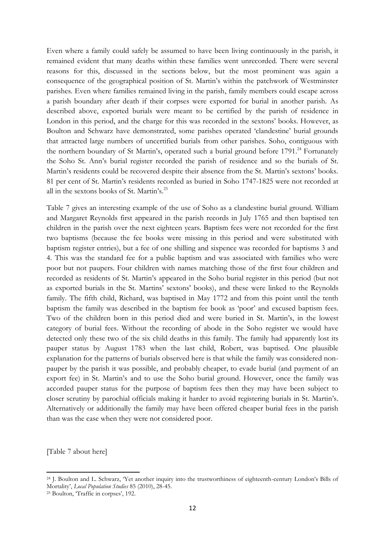Even where a family could safely be assumed to have been living continuously in the parish, it remained evident that many deaths within these families went unrecorded. There were several reasons for this, discussed in the sections below, but the most prominent was again a consequence of the geographical position of St. Martin's within the patchwork of Westminster parishes. Even where families remained living in the parish, family members could escape across a parish boundary after death if their corpses were exported for burial in another parish. As described above, exported burials were meant to be certified by the parish of residence in London in this period, and the charge for this was recorded in the sextons' books. However, as Boulton and Schwarz have demonstrated, some parishes operated 'clandestine' burial grounds that attracted large numbers of uncertified burials from other parishes. Soho, contiguous with the northern boundary of St Martin's, operated such a burial ground before 1791.<sup>24</sup> Fortunately the Soho St. Ann's burial register recorded the parish of residence and so the burials of St. Martin's residents could be recovered despite their absence from the St. Martin's sextons' books. 81 per cent of St. Martin's residents recorded as buried in Soho 1747-1825 were not recorded at all in the sextons books of St. Martin's.<sup>25</sup>

Table 7 gives an interesting example of the use of Soho as a clandestine burial ground. William and Margaret Reynolds first appeared in the parish records in July 1765 and then baptised ten children in the parish over the next eighteen years. Baptism fees were not recorded for the first two baptisms (because the fee books were missing in this period and were substituted with baptism register entries), but a fee of one shilling and sixpence was recorded for baptisms 3 and 4. This was the standard fee for a public baptism and was associated with families who were poor but not paupers. Four children with names matching those of the first four children and recorded as residents of St. Martin's appeared in the Soho burial register in this period (but not as exported burials in the St. Martins' sextons' books), and these were linked to the Reynolds family. The fifth child, Richard, was baptised in May 1772 and from this point until the tenth baptism the family was described in the baptism fee book as 'poor' and excused baptism fees. Two of the children born in this period died and were buried in St. Martin's, in the lowest category of burial fees. Without the recording of abode in the Soho register we would have detected only these two of the six child deaths in this family. The family had apparently lost its pauper status by August 1783 when the last child, Robert, was baptised. One plausible explanation for the patterns of burials observed here is that while the family was considered nonpauper by the parish it was possible, and probably cheaper, to evade burial (and payment of an export fee) in St. Martin's and to use the Soho burial ground. However, once the family was accorded pauper status for the purpose of baptism fees then they may have been subject to closer scrutiny by parochial officials making it harder to avoid registering burials in St. Martin's. Alternatively or additionally the family may have been offered cheaper burial fees in the parish than was the case when they were not considered poor.

[Table 7 about here]

 $\overline{a}$ 

<sup>24</sup> J. Boulton and L. Schwarz, 'Yet another inquiry into the trustworthiness of eighteenth-century London's Bills of Mortality', *Local Population Studies* 85 (2010), 28-45.

<sup>25</sup> Boulton, 'Traffic in corpses', 192.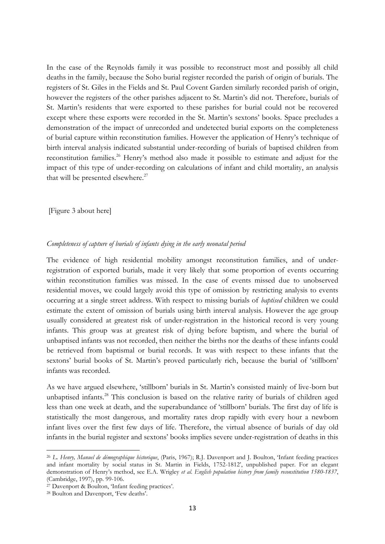In the case of the Reynolds family it was possible to reconstruct most and possibly all child deaths in the family, because the Soho burial register recorded the parish of origin of burials. The registers of St. Giles in the Fields and St. Paul Covent Garden similarly recorded parish of origin, however the registers of the other parishes adjacent to St. Martin's did not. Therefore, burials of St. Martin's residents that were exported to these parishes for burial could not be recovered except where these exports were recorded in the St. Martin's sextons' books. Space precludes a demonstration of the impact of unrecorded and undetected burial exports on the completeness of burial capture within reconstitution families. However the application of Henry's technique of birth interval analysis indicated substantial under-recording of burials of baptised children from reconstitution families.<sup>26</sup> Henry's method also made it possible to estimate and adjust for the impact of this type of under-recording on calculations of infant and child mortality, an analysis that will be presented elsewhere.<sup>27</sup>

[Figure 3 about here]

## *Completeness of capture of burials of infants dying in the early neonatal period*

The evidence of high residential mobility amongst reconstitution families, and of underregistration of exported burials, made it very likely that some proportion of events occurring within reconstitution families was missed. In the case of events missed due to unobserved residential moves, we could largely avoid this type of omission by restricting analysis to events occurring at a single street address. With respect to missing burials of *baptised* children we could estimate the extent of omission of burials using birth interval analysis. However the age group usually considered at greatest risk of under-registration in the historical record is very young infants. This group was at greatest risk of dying before baptism, and where the burial of unbaptised infants was not recorded, then neither the births nor the deaths of these infants could be retrieved from baptismal or burial records. It was with respect to these infants that the sextons' burial books of St. Martin's proved particularly rich, because the burial of 'stillborn' infants was recorded.

As we have argued elsewhere, 'stillborn' burials in St. Martin's consisted mainly of live-born but unbaptised infants.<sup>28</sup> This conclusion is based on the relative rarity of burials of children aged less than one week at death, and the superabundance of 'stillborn' burials. The first day of life is statistically the most dangerous, and mortality rates drop rapidly with every hour a newborn infant lives over the first few days of life. Therefore, the virtual absence of burials of day old infants in the burial register and sextons' books implies severe under-registration of deaths in this

1

<sup>26</sup> *L. Henry, Manuel de démographique historique*, (Paris, 1967); R.J. Davenport and J. Boulton, 'Infant feeding practices and infant mortality by social status in St. Martin in Fields, 1752-1812', unpublished paper. For an elegant demonstration of Henry's method, see E.A. Wrigley *et al*. *English population history from family reconstitution 1580-1837*, (Cambridge, 1997), pp. 99-106.

<sup>27</sup> Davenport & Boulton, 'Infant feeding practices'.

<sup>28</sup> Boulton and Davenport, 'Few deaths'.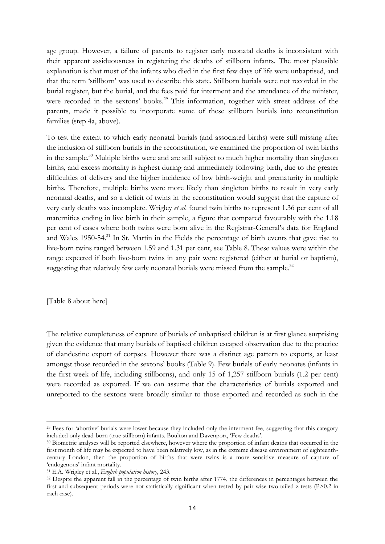age group. However, a failure of parents to register early neonatal deaths is inconsistent with their apparent assiduousness in registering the deaths of stillborn infants. The most plausible explanation is that most of the infants who died in the first few days of life were unbaptised, and that the term 'stillborn' was used to describe this state. Stillborn burials were not recorded in the burial register, but the burial, and the fees paid for interment and the attendance of the minister, were recorded in the sextons' books.<sup>29</sup> This information, together with street address of the parents, made it possible to incorporate some of these stillborn burials into reconstitution families (step 4a, above).

To test the extent to which early neonatal burials (and associated births) were still missing after the inclusion of stillborn burials in the reconstitution, we examined the proportion of twin births in the sample.<sup>30</sup> Multiple births were and are still subject to much higher mortality than singleton births, and excess mortality is highest during and immediately following birth, due to the greater difficulties of delivery and the higher incidence of low birth-weight and prematurity in multiple births. Therefore, multiple births were more likely than singleton births to result in very early neonatal deaths, and so a deficit of twins in the reconstitution would suggest that the capture of very early deaths was incomplete. Wrigley *et al.* found twin births to represent 1.36 per cent of all maternities ending in live birth in their sample, a figure that compared favourably with the 1.18 per cent of cases where both twins were born alive in the Registrar-General's data for England and Wales 1950-54.<sup>31</sup> In St. Martin in the Fields the percentage of birth events that gave rise to live-born twins ranged between 1.59 and 1.31 per cent, see Table 8. These values were within the range expected if both live-born twins in any pair were registered (either at burial or baptism), suggesting that relatively few early neonatal burials were missed from the sample.<sup>32</sup>

[Table 8 about here]

**.** 

The relative completeness of capture of burials of unbaptised children is at first glance surprising given the evidence that many burials of baptised children escaped observation due to the practice of clandestine export of corpses. However there was a distinct age pattern to exports, at least amongst those recorded in the sextons' books (Table 9). Few burials of early neonates (infants in the first week of life, including stillborns), and only 15 of 1,257 stillborn burials (1.2 per cent) were recorded as exported. If we can assume that the characteristics of burials exported and unreported to the sextons were broadly similar to those exported and recorded as such in the

<sup>&</sup>lt;sup>29</sup> Fees for 'abortive' burials were lower because they included only the interment fee, suggesting that this category included only dead-born (true stillborn) infants. Boulton and Davenport, 'Few deaths'.

<sup>30</sup> Biometric analyses will be reported elsewhere, however where the proportion of infant deaths that occurred in the first month of life may be expected to have been relatively low, as in the extreme disease environment of eighteenthcentury London, then the proportion of births that were twins is a more sensitive measure of capture of 'endogenous' infant mortality.

<sup>31</sup> E.A. Wrigley et al., *English population history*, 243.

<sup>&</sup>lt;sup>32</sup> Despite the apparent fall in the percentage of twin births after 1774, the differences in percentages between the first and subsequent periods were not statistically significant when tested by pair-wise two-tailed z-tests (P>0.2 in each case).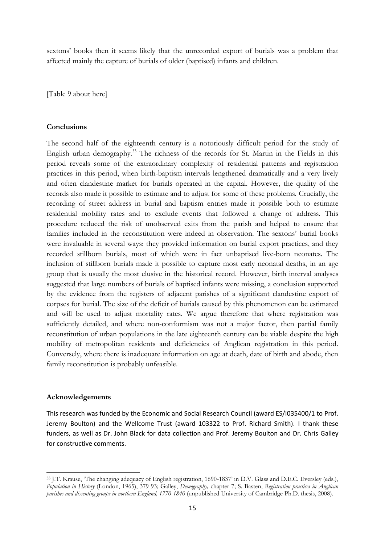sextons' books then it seems likely that the unrecorded export of burials was a problem that affected mainly the capture of burials of older (baptised) infants and children.

[Table 9 about here]

## **Conclusions**

The second half of the eighteenth century is a notoriously difficult period for the study of English urban demography.<sup>33</sup> The richness of the records for St. Martin in the Fields in this period reveals some of the extraordinary complexity of residential patterns and registration practices in this period, when birth-baptism intervals lengthened dramatically and a very lively and often clandestine market for burials operated in the capital. However, the quality of the records also made it possible to estimate and to adjust for some of these problems. Crucially, the recording of street address in burial and baptism entries made it possible both to estimate residential mobility rates and to exclude events that followed a change of address. This procedure reduced the risk of unobserved exits from the parish and helped to ensure that families included in the reconstitution were indeed in observation. The sextons' burial books were invaluable in several ways: they provided information on burial export practices, and they recorded stillborn burials, most of which were in fact unbaptised live-born neonates. The inclusion of stillborn burials made it possible to capture most early neonatal deaths, in an age group that is usually the most elusive in the historical record. However, birth interval analyses suggested that large numbers of burials of baptised infants were missing, a conclusion supported by the evidence from the registers of adjacent parishes of a significant clandestine export of corpses for burial. The size of the deficit of burials caused by this phenomenon can be estimated and will be used to adjust mortality rates. We argue therefore that where registration was sufficiently detailed, and where non-conformism was not a major factor, then partial family reconstitution of urban populations in the late eighteenth century can be viable despite the high mobility of metropolitan residents and deficiencies of Anglican registration in this period. Conversely, where there is inadequate information on age at death, date of birth and abode, then family reconstitution is probably unfeasible.

### **Acknowledgements**

 $\overline{a}$ 

This research was funded by the Economic and Social Research Council (award ES/I035400/1 to Prof. Jeremy Boulton) and the Wellcome Trust (award 103322 to Prof. Richard Smith). I thank these funders, as well as Dr. John Black for data collection and Prof. Jeremy Boulton and Dr. Chris Galley for constructive comments.

<sup>33</sup> J.T. Krause, 'The changing adequacy of English registration, 1690-1837' in D.V. Glass and D.E.C. Eversley (eds.), *Population in History* (London, 1965), 379-93; Galley, *Demography,* chapter 7; S. Basten, *Registration practices in Anglican parishes and dissenting groups in northern England, 1770-1840* (unpublished University of Cambridge Ph.D. thesis, 2008).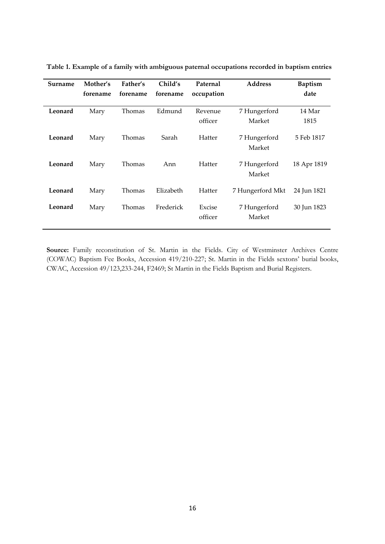| Surname | Mother's | Father's | Child's   | Paternal          | <b>Address</b>         | <b>Baptism</b> |
|---------|----------|----------|-----------|-------------------|------------------------|----------------|
|         | forename | forename | forename  | occupation        |                        | date           |
| Leonard | Mary     | Thomas   | Edmund    | Revenue           | 7 Hungerford           | 14 Mar         |
|         |          |          |           | officer           | Market                 | 1815           |
| Leonard | Mary     | Thomas   | Sarah     | Hatter            | 7 Hungerford<br>Market | 5 Feb 1817     |
| Leonard | Mary     | Thomas   | Ann       | Hatter            | 7 Hungerford<br>Market | 18 Apr 1819    |
| Leonard | Mary     | Thomas   | Elizabeth | Hatter            | 7 Hungerford Mkt       | 24 Jun 1821    |
| Leonard | Mary     | Thomas   | Frederick | Excise<br>officer | 7 Hungerford<br>Market | 30 Jun 1823    |

**Table 1. Example of a family with ambiguous paternal occupations recorded in baptism entries**

**Source:** Family reconstitution of St. Martin in the Fields. City of Westminster Archives Centre (COWAC) Baptism Fee Books, Accession 419/210-227; St. Martin in the Fields sextons' burial books, CWAC, Accession 49/123,233-244, F2469; St Martin in the Fields Baptism and Burial Registers.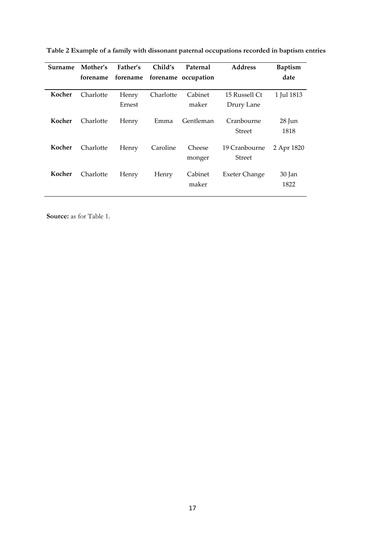| Surname | Mother's  | Father's        | Child's   | Paternal<br>forename forename forename occupation | <b>Address</b>                 | <b>Baptism</b><br>date |
|---------|-----------|-----------------|-----------|---------------------------------------------------|--------------------------------|------------------------|
| Kocher  | Charlotte | Henry<br>Ernest | Charlotte | Cabinet<br>maker                                  | 15 Russell Ct<br>Drury Lane    | 1 Jul 1813             |
| Kocher  | Charlotte | Henry           | Emma      | Gentleman                                         | Cranbourne<br><b>Street</b>    | 28 Jun<br>1818         |
| Kocher  | Charlotte | Henry           | Caroline  | Cheese<br>monger                                  | 19 Cranbourne<br><b>Street</b> | 2 Apr 1820             |
| Kocher  | Charlotte | Henry           | Henry     | Cabinet<br>maker                                  | Exeter Change                  | 30 Jan<br>1822         |

**Table 2 Example of a family with dissonant paternal occupations recorded in baptism entries**

**Source:** as for Table 1.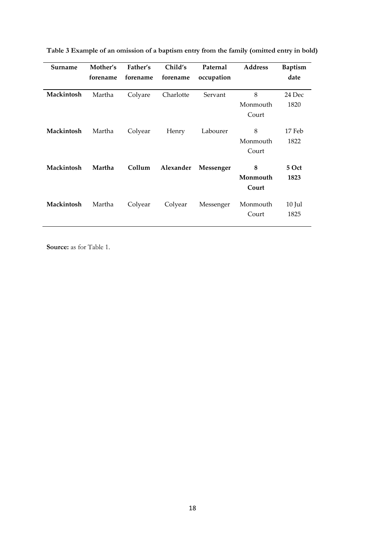| Surname           | Mother's | Father's | Child's   | Paternal   | <b>Address</b>    | <b>Baptism</b> |
|-------------------|----------|----------|-----------|------------|-------------------|----------------|
|                   | forename | forename | forename  | occupation |                   | date           |
| Mackintosh        | Martha   | Colyare  | Charlotte | Servant    | 8                 | 24 Dec         |
|                   |          |          |           |            | Monmouth          | 1820           |
|                   |          |          |           |            | Court             |                |
| Mackintosh        | Martha   | Colyear  | Henry     | Labourer   | 8                 | 17 Feb         |
|                   |          |          |           |            | Monmouth          | 1822           |
|                   |          |          |           |            | Court             |                |
|                   |          |          |           |            |                   |                |
| <b>Mackintosh</b> | Martha   | Collum   | Alexander | Messenger  | 8                 | 5 Oct          |
|                   |          |          |           |            | Monmouth<br>Court | 1823           |
|                   |          |          |           |            |                   |                |
| Mackintosh        | Martha   | Colyear  | Colyear   | Messenger  | Monmouth          | $10$ Jul       |
|                   |          |          |           |            | Court             | 1825           |

**Table 3 Example of an omission of a baptism entry from the family (omitted entry in bold)**

**Source:** as for Table 1.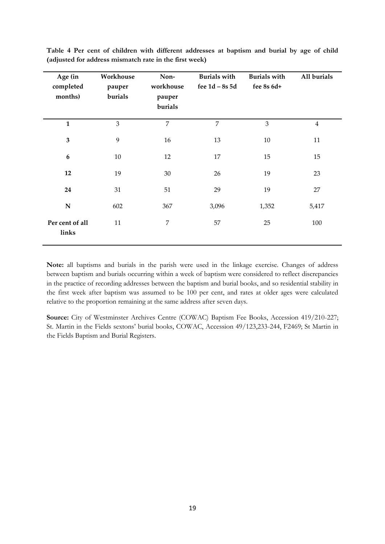| Age (in<br>completed<br>months) | Workhouse<br>pauper<br>burials | Non-<br>workhouse<br>pauper<br>burials | <b>Burials with</b><br>fee $1d - 8s$ 5d | <b>Burials with</b><br>fee 8s 6d+ | All burials |
|---------------------------------|--------------------------------|----------------------------------------|-----------------------------------------|-----------------------------------|-------------|
| $\mathbf{1}$                    | 3                              | $\overline{7}$                         | $\overline{7}$                          | 3                                 | $\bf 4$     |
| $\mathbf{3}$                    | 9                              | 16                                     | 13                                      | $10\,$                            | 11          |
| $\boldsymbol{6}$                | $10\,$                         | 12                                     | 17                                      | 15                                | 15          |
| 12                              | 19                             | 30                                     | 26                                      | 19                                | 23          |
| 24                              | 31                             | 51                                     | 29                                      | 19                                | 27          |
| ${\bf N}$                       | 602                            | 367                                    | 3,096                                   | 1,352                             | 5,417       |
| Per cent of all<br>links        | 11                             | 7                                      | 57                                      | 25                                | 100         |

**Table 4 Per cent of children with different addresses at baptism and burial by age of child (adjusted for address mismatch rate in the first week)**

**Note:** all baptisms and burials in the parish were used in the linkage exercise. Changes of address between baptism and burials occurring within a week of baptism were considered to reflect discrepancies in the practice of recording addresses between the baptism and burial books, and so residential stability in the first week after baptism was assumed to be 100 per cent, and rates at older ages were calculated relative to the proportion remaining at the same address after seven days.

**Source:** City of Westminster Archives Centre (COWAC) Baptism Fee Books, Accession 419/210-227; St. Martin in the Fields sextons' burial books, COWAC, Accession 49/123,233-244, F2469; St Martin in the Fields Baptism and Burial Registers.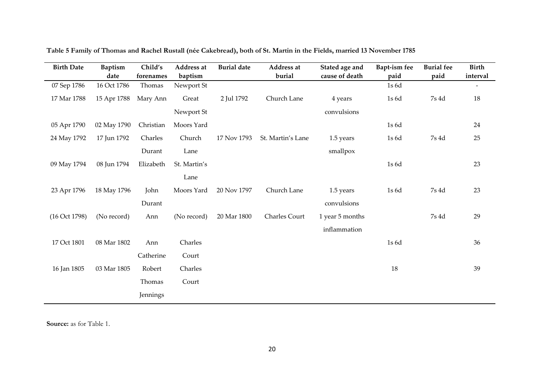| <b>Birth Date</b> | <b>Baptism</b><br>date | Child's<br>forenames | Address at<br>baptism | <b>Burial date</b> | Address at<br>burial | Stated age and<br>cause of death | Bapt-ism fee<br>paid | <b>Burial</b> fee<br>paid | <b>Birth</b><br>interval |
|-------------------|------------------------|----------------------|-----------------------|--------------------|----------------------|----------------------------------|----------------------|---------------------------|--------------------------|
| 07 Sep 1786       | 16 Oct 1786            | Thomas               | Newport St            |                    |                      |                                  | 1s 6d                |                           |                          |
| 17 Mar 1788       | 15 Apr 1788            | Mary Ann             | Great                 | 2 Jul 1792         | Church Lane          | 4 years                          | 1s 6d                | 7s 4d                     | 18                       |
|                   |                        |                      | Newport St            |                    |                      | convulsions                      |                      |                           |                          |
| 05 Apr 1790       | 02 May 1790            | Christian            | Moors Yard            |                    |                      |                                  | 1s 6d                |                           | 24                       |
| 24 May 1792       | 17 Jun 1792            | Charles              | Church                | 17 Nov 1793        | St. Martin's Lane    | 1.5 years                        | 1s 6d                | 7s 4d                     | 25                       |
|                   |                        | Durant               | Lane                  |                    |                      | smallpox                         |                      |                           |                          |
| 09 May 1794       | 08 Jun 1794            | Elizabeth            | St. Martin's          |                    |                      |                                  | 1s6d                 |                           | 23                       |
|                   |                        |                      | Lane                  |                    |                      |                                  |                      |                           |                          |
| 23 Apr 1796       | 18 May 1796            | John                 | Moors Yard            | 20 Nov 1797        | Church Lane          | 1.5 years                        | 1s6d                 | 7s 4d                     | 23                       |
|                   |                        | Durant               |                       |                    |                      | convulsions                      |                      |                           |                          |
| (16 Oct 1798)     | (No record)            | Ann                  | (No record)           | 20 Mar 1800        | Charles Court        | 1 year 5 months                  |                      | 7s 4d                     | 29                       |
|                   |                        |                      |                       |                    |                      | inflammation                     |                      |                           |                          |
| 17 Oct 1801       | 08 Mar 1802            | Ann                  | Charles               |                    |                      |                                  | 1s 6d                |                           | 36                       |
|                   |                        | Catherine            | Court                 |                    |                      |                                  |                      |                           |                          |
| 16 Jan 1805       | 03 Mar 1805            | Robert               | Charles               |                    |                      |                                  | 18                   |                           | 39                       |
|                   |                        | Thomas               | Court                 |                    |                      |                                  |                      |                           |                          |
|                   |                        | Jennings             |                       |                    |                      |                                  |                      |                           |                          |

**Table 5 Family of Thomas and Rachel Rustall (née Cakebread), both of St. Martin in the Fields, married 13 November 1785**

**Source:** as for Table 1.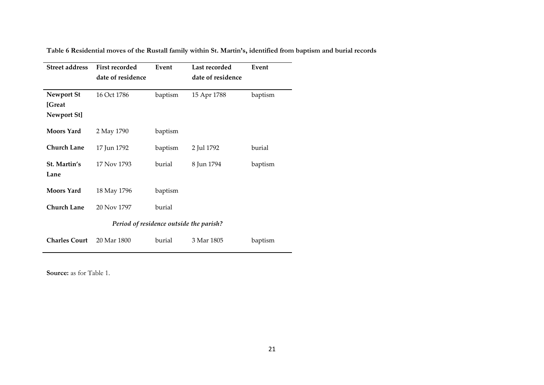| <b>Street address</b>                      | <b>First recorded</b><br>date of residence | Event   | Last recorded<br>date of residence | Event   |  |  |
|--------------------------------------------|--------------------------------------------|---------|------------------------------------|---------|--|--|
| <b>Newport St</b><br>[Great<br>Newport St] | 16 Oct 1786                                | baptism | 15 Apr 1788                        | baptism |  |  |
| <b>Moors Yard</b>                          | 2 May 1790                                 | baptism |                                    |         |  |  |
| <b>Church Lane</b>                         | 17 Jun 1792                                | baptism | 2 Jul 1792                         | burial  |  |  |
| St. Martin's<br>Lane                       | 17 Nov 1793                                | burial  | 8 Jun 1794                         | baptism |  |  |
| <b>Moors</b> Yard                          | 18 May 1796                                | baptism |                                    |         |  |  |
| <b>Church Lane</b>                         | 20 Nov 1797                                | burial  |                                    |         |  |  |
| Period of residence outside the parish?    |                                            |         |                                    |         |  |  |
| <b>Charles Court</b>                       | 20 Mar 1800                                | burial  | 3 Mar 1805                         | baptism |  |  |

**Table 6 Residential moves of the Rustall family within St. Martin's, identified from baptism and burial records**

**Source:** as for Table 1.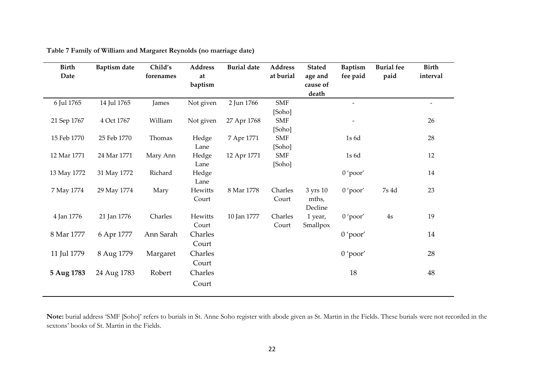| <b>Birth</b> | <b>Baptism date</b> | Child's   | Address   | <b>Burial date</b> | <b>Address</b> | <b>Stated</b> | <b>Baptism</b>           | <b>Burial</b> fee | <b>Birth</b>             |
|--------------|---------------------|-----------|-----------|--------------------|----------------|---------------|--------------------------|-------------------|--------------------------|
| Date         |                     | forenames | at        |                    | at burial      | age and       | fee paid                 | paid              | interval                 |
|              |                     |           | baptism   |                    |                | cause of      |                          |                   |                          |
|              |                     |           |           |                    |                | death         |                          |                   |                          |
| 6 Jul 1765   | 14 Jul 1765         | James     | Not given | 2 Jun 1766         | <b>SMF</b>     |               | $\overline{\phantom{0}}$ |                   | $\overline{\phantom{a}}$ |
|              |                     |           |           |                    | [Soho]         |               |                          |                   |                          |
| 21 Sep 1767  | 4 Oct 1767          | William   | Not given | 27 Apr 1768        | <b>SMF</b>     |               | $\overline{\phantom{a}}$ |                   | 26                       |
|              |                     |           |           |                    | [Soho]         |               |                          |                   |                          |
| 15 Feb 1770  | 25 Feb 1770         | Thomas    | Hedge     | 7 Apr 1771         | <b>SMF</b>     |               | 1s 6d                    |                   | 28                       |
|              |                     |           | Lane      |                    | [Soho]         |               |                          |                   |                          |
| 12 Mar 1771  | 24 Mar 1771         | Mary Ann  | Hedge     | 12 Apr 1771        | SMF            |               | 1s6d                     |                   | 12                       |
|              |                     |           | Lane      |                    | [Soho]         |               |                          |                   |                          |
| 13 May 1772  | 31 May 1772         | Richard   | Hedge     |                    |                |               | $0'$ poor'               |                   | $14\,$                   |
|              |                     |           | Lane      |                    |                |               |                          |                   |                          |
| 7 May 1774   | 29 May 1774         | Mary      | Hewitts   | 8 Mar 1778         | Charles        | 3 yrs 10      | $0'$ poor'               | 7s 4d             | 23                       |
|              |                     |           | Court     |                    | Court          | mths,         |                          |                   |                          |
|              |                     |           |           |                    |                | Decline       |                          |                   |                          |
| 4 Jan 1776   | 21 Jan 1776         | Charles   | Hewitts   | 10 Jan 1777        | Charles        | 1 year,       | $0'$ poor'               | $4s$              | 19                       |
|              |                     |           | Court     |                    | Court          | Smallpox      |                          |                   |                          |
| 8 Mar 1777   | 6 Apr 1777          | Ann Sarah | Charles   |                    |                |               | $0'$ poor'               |                   | 14                       |
|              |                     |           | Court     |                    |                |               |                          |                   |                          |
| 11 Jul 1779  | 8 Aug 1779          | Margaret  | Charles   |                    |                |               | $0'$ poor'               |                   | 28                       |
|              |                     |           | Court     |                    |                |               |                          |                   |                          |
| 5 Aug 1783   | 24 Aug 1783         | Robert    | Charles   |                    |                |               | 18                       |                   | $48\,$                   |
|              |                     |           | Court     |                    |                |               |                          |                   |                          |
|              |                     |           |           |                    |                |               |                          |                   |                          |

**Table 7 Family of William and Margaret Reynolds (no marriage date)**

L.

**Note:** burial address 'SMF [Soho]' refers to burials in St. Anne Soho register with abode given as St. Martin in the Fields. These burials were not recorded in the sextons' books of St. Martin in the Fields.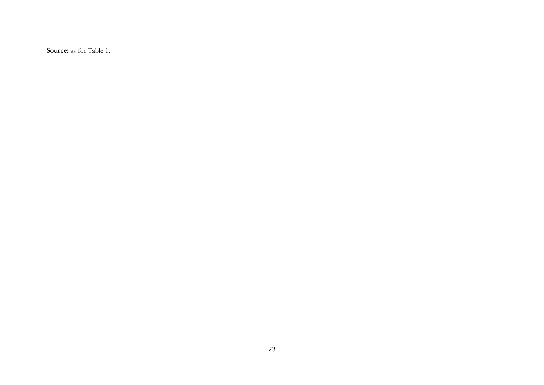**Source:** as for Table 1.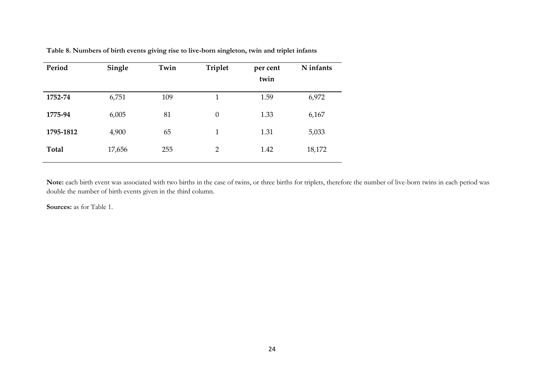| Period       | Single | Twin | <b>Triplet</b>   | per cent<br>twin | N infants |
|--------------|--------|------|------------------|------------------|-----------|
| 1752-74      | 6,751  | 109  | 1                | 1.59             | 6,972     |
| 1775-94      | 6,005  | 81   | $\boldsymbol{0}$ | 1.33             | 6,167     |
| 1795-1812    | 4,900  | 65   | 1                | 1.31             | 5,033     |
| <b>Total</b> | 17,656 | 255  | $\overline{2}$   | 1.42             | 18,172    |

**Table 8. Numbers of birth events giving rise to live-born singleton, twin and triplet infants** 

**Note:** each birth event was associated with two births in the case of twins, or three births for triplets, therefore the number of live-born twins in each period was double the number of birth events given in the third column.

**Sources:** as for Table 1.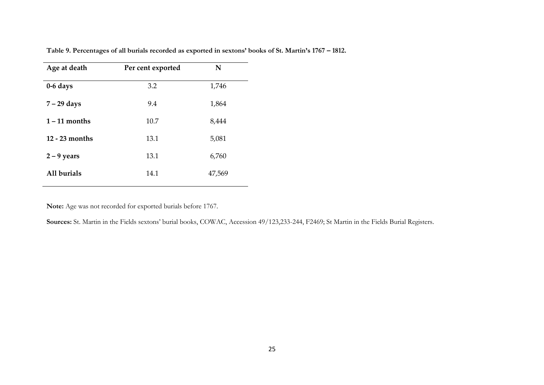| Age at death     | Per cent exported | N      |
|------------------|-------------------|--------|
| $0-6$ days       | 3.2               | 1,746  |
| $7 - 29$ days    | 9.4               | 1,864  |
| $1 - 11$ months  | 10.7              | 8,444  |
| $12 - 23$ months | 13.1              | 5,081  |
| $2 - 9$ years    | 13.1              | 6,760  |
| All burials      | 14.1              | 47,569 |

**Table 9. Percentages of all burials recorded as exported in sextons' books of St. Martin's 1767 – 1812.** 

**Note:** Age was not recorded for exported burials before 1767.

**Sources:** St. Martin in the Fields sextons' burial books, COWAC, Accession 49/123,233-244, F2469; St Martin in the Fields Burial Registers.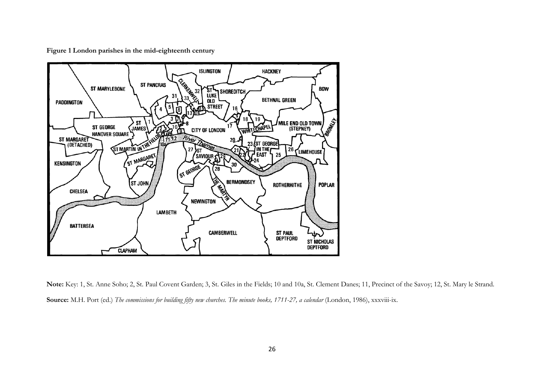**Figure 1 London parishes in the mid-eighteenth century**



**Note:** Key: 1, St. Anne Soho; 2, St. Paul Covent Garden; 3, St. Giles in the Fields; 10 and 10a, St. Clement Danes; 11, Precinct of the Savoy; 12, St. Mary le Strand. Source: M.H. Port (ed.) The *commissions for building fifty new churches*. The *minute books, 1711-27, a calendar* (London, 1986), xxxviii-ix.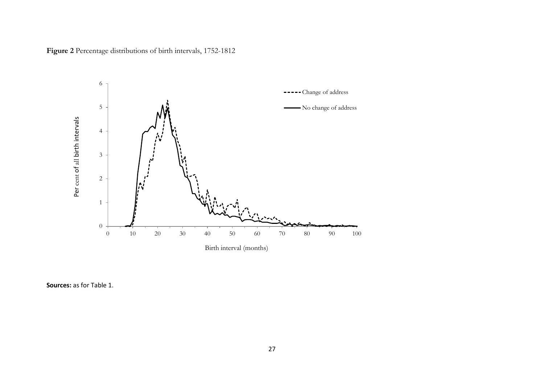**Figure 2** Percentage distributions of birth intervals, 1752-1812



**Sources:** as for Table 1.